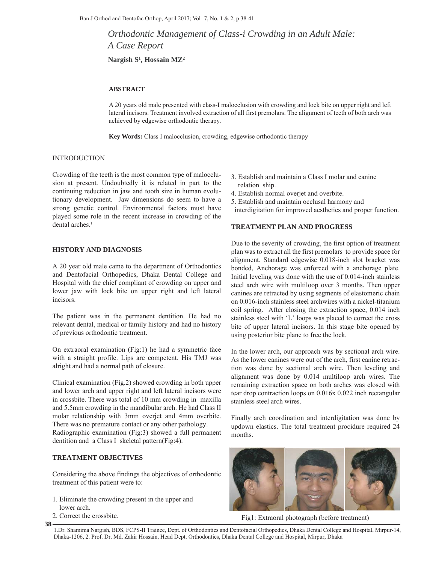*Orthodontic Management of Class-i Crowding in an Adult Male: A Case Report*

**Nargish S1 , Hossain MZ2**

# **ABSTRACT**

A 20 years old male presented with class-I malocclusion with crowding and lock bite on upper right and left lateral incisors. Treatment involved extraction of all first premolars. The alignment of teeth of both arch was achieved by edgewise orthodontic therapy.

**Key Words:** Class I malocclusion, crowding, edgewise orthodontic therapy

# INTRODUCTION

Crowding of the teeth is the most common type of malocclusion at present. Undoubtedly it is related in part to the continuing reduction in jaw and tooth size in human evolutionary development. Jaw dimensions do seem to have a strong genetic control. Environmental factors must have played some role in the recent increase in crowding of the dental arches.<sup>1</sup>

#### **HISTORY AND DIAGNOSIS**

A 20 year old male came to the department of Orthodontics and Dentofacial Orthopedics, Dhaka Dental College and Hospital with the chief compliant of crowding on upper and lower jaw with lock bite on upper right and left lateral incisors.

The patient was in the permanent dentition. He had no relevant dental, medical or family history and had no history of previous orthodontic treatment.

On extraoral examination (Fig:1) he had a symmetric face with a straight profile. Lips are competent. His TMJ was alright and had a normal path of closure.

Clinical examination (Fig.2) showed crowding in both upper and lower arch and upper right and left lateral incisors were in crossbite. There was total of 10 mm crowding in maxilla and 5.5mm crowding in the mandibular arch. He had Class II molar relationship with 3mm overjet and 4mm overbite. There was no premature contact or any other pathology.

Radiographic examination (Fig:3) showed a full permanent dentition and a Class I skeletal pattern(Fig:4).

# **TREATMENT OBJECTIVES**

Considering the above findings the objectives of orthodontic treatment of this patient were to:

- 1. Eliminate the crowding present in the upper and lower arch.
- 2. Correct the crossbite.

**38**

- 3. Establish and maintain a Class I molar and canine relation ship.
- 4. Establish normal overjet and overbite.
- 5. Establish and maintain occlusal harmony and
- interdigitation for improved aesthetics and proper function.

#### **TREATMENT PLAN AND PROGRESS**

Due to the severity of crowding, the first option of treatment plan was to extract all the first premolars to provide space for alignment. Standard edgewise 0.018-inch slot bracket was bonded, Anchorage was enforced with a anchorage plate. Initial leveling was done with the use of 0.014-inch stainless steel arch wire with multiloop over 3 months. Then upper canines are retracted by using segments of elastomeric chain on 0.016-inch stainless steel archwires with a nickel-titanium coil spring. After closing the extraction space, 0.014 inch stainless steel with 'L' loops was placed to correct the cross bite of upper lateral incisors. In this stage bite opened by using posterior bite plane to free the lock.

In the lower arch, our approach was by sectional arch wire. As the lower canines were out of the arch, first canine retraction was done by sectional arch wire. Then leveling and alignment was done by 0.014 multiloop arch wires. The remaining extraction space on both arches was closed with tear drop contraction loops on 0.016x 0.022 inch rectangular stainless steel arch wires.

Finally arch coordination and interdigitation was done by updown elastics. The total treatment procidure required 24 months.



Fig1: Extraoral photograph (before treatment)

<sup>1.</sup>Dr. Shamima Nargish, BDS, FCPS-II Trainee, Dept. of Orthodontics and Dentofacial Orthopedics, Dhaka Dental College and Hospital, Mirpur-14, Dhaka-1206, 2. Prof. Dr. Md. Zakir Hossain, Head Dept. Orthodontics, Dhaka Dental College and Hospital, Mirpur, Dhaka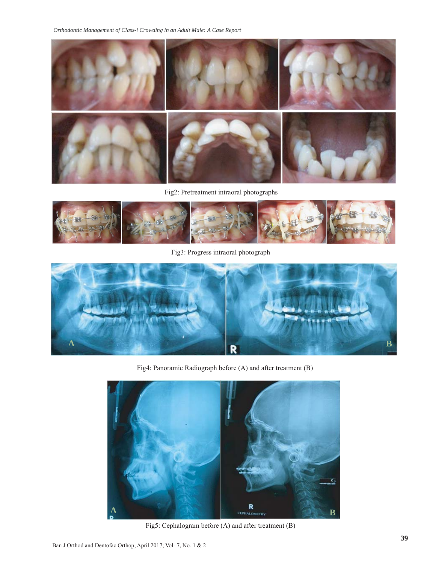*Orthodontic Management of Class-i Crowding in an Adult Male: A Case Report*



Fig2: Pretreatment intraoral photographs



Fig3: Progress intraoral photograph



Fig4: Panoramic Radiograph before (A) and after treatment (B)



Fig5: Cephalogram before (A) and after treatment (B)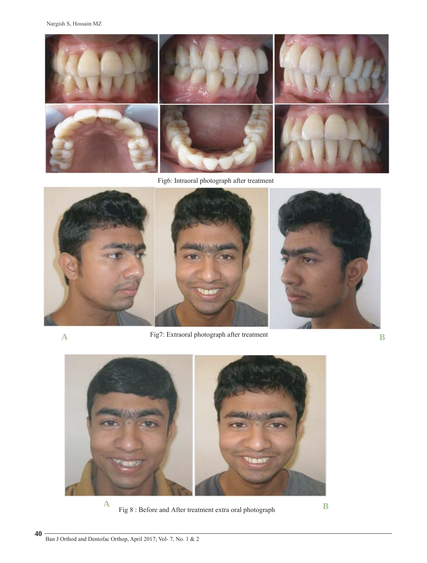Nargish S, Hossain MZ



Fig6: Intraoral photograph after treatment



**40**

**A** Fig7: Extraoral photograph after treatment **B**



Fig 8 : Before and After treatment extra oral photograph **B**